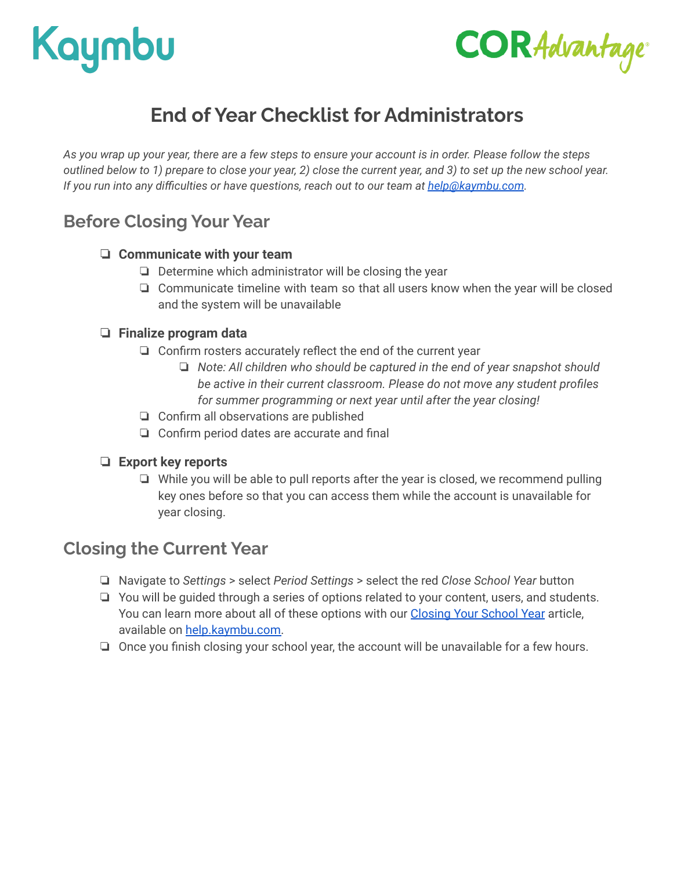# Kaymbu



## **End of Year Checklist for Administrators**

*As you wrap up your year, there are a few steps to ensure your account is in order. Please follow the steps outlined below to 1) prepare to close your year, 2) close the current year, and 3) to set up the new school year. If you run into any difficulties or have questions, reach out to our team at [help@kaymbu.com](mailto:help@kaymbu.com).*

## **Before Closing Your Year**

#### ❏ **Communicate with your team**

- ❏ Determine which administrator will be closing the year
- ❏ Communicate timeline with team so that all users know when the year will be closed and the system will be unavailable

#### ❏ **Finalize program data**

- ❏ Confirm rosters accurately reflect the end of the current year
	- ❏ *Note: All children who should be captured in the end of year snapshot should be active in their current classroom. Please do not move any student profiles for summer programming or next year until after the year closing!*
- ❏ Confirm all observations are published
- ❏ Confirm period dates are accurate and final

#### ❏ **Export key reports**

❏ While you will be able to pull reports after the year is closed, we recommend pulling key ones before so that you can access them while the account is unavailable for year closing.

## **Closing the Current Year**

- ❏ Navigate to *Settings* > select *Period Settings* > select the red *Close School Year* button
- ❏ You will be guided through a series of options related to your content, users, and students. You can learn more about all of these options with our [Closing](https://help.kaymbu.com/hc/en-us/articles/360058222393-Closing-the-School-Year) Your School Year article, available on [help.kaymbu.com.](http://help.kaymbu.com)
- ❏ Once you finish closing your school year, the account will be unavailable for a few hours.